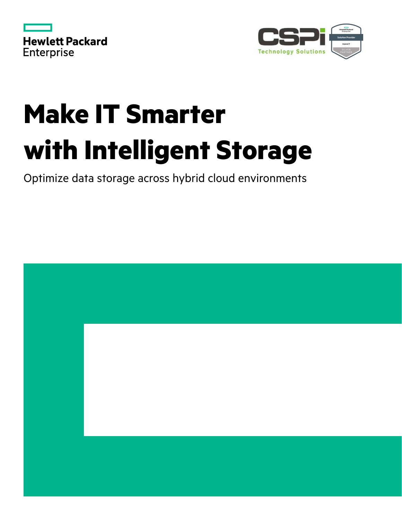|                   | <b>Hewlett Packard</b> |
|-------------------|------------------------|
| <b>Enterprise</b> |                        |



# **Make IT Smarter with Intelligent Storage**

Optimize data storage across hybrid cloud environments

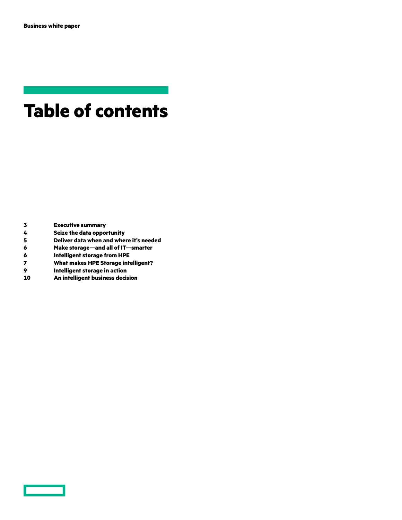# **Table of contents**

- **Executive summary**
- **Seize the data opportunity**
- **Deliver data when and where it's needed**
- **Make storage—and all of IT—smarter**
- 
- **Intelligent storage from HPE What makes HPE Storage intelligent?**
- **Intelligent storage in action**
- **An intelligent business decision**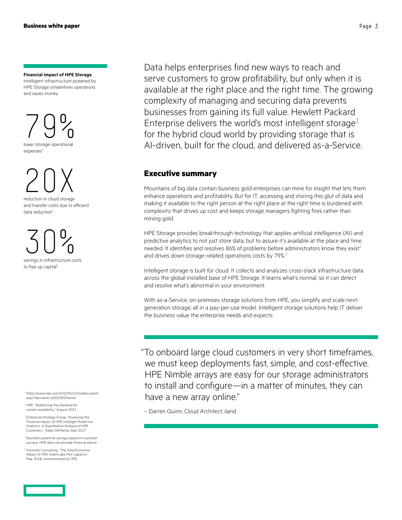#### **Financial impact of HPE Storage**

Intelligent infrastructure powered by HPE Storage streamlines operations and saves money.



20X

reduction in cloud storage and transfer costs due to efficient data reduction<sup>4</sup>

30% savings in infrastructure costs

to free up capital

1  [https://www.hpe.com/h20195/v2/Getdocument.](https://www.hpe.com/h20195/v2/Getdocument.aspx?docname=a00058506enw) [aspx?docname=a00058506enw](https://www.hpe.com/h20195/v2/Getdocument.aspx?docname=a00058506enw)

2 HPE, "Redefining the standard for system availability," August 2017,

<sup>3</sup> Enterprise Strategy Group, "Assessing the Financial Impact of HPE InfoSight Predictive Analytics: A Quantitative Analysis of HPE Customers," Adam DeMattia, Sept 2017

4 Illustrates potential savings based on customer surveys. HPE does not provide financial advice.

5 Forrester Consulting, "The Total Economic Impact of HPE GreenLake Flex Capacity," May 2018, commissioned by HPE

Data helps enterprises find new ways to reach and serve customers to grow profitability, but only when it is available at the right place and the right time. The growing complexity of managing and securing data prevents businesses from gaining its full value. Hewlett Packard Enterprise delivers the world's most intelligent storage<sup>1</sup> for the hybrid cloud world by providing storage that is AI-driven, built for the cloud, and delivered as-a-Service.

# **Executive summary**

Mountains of big data contain business gold enterprises can mine for insight that lets them enhance operations and profitability. But for IT, accessing and storing this glut of data and making it available to the right person at the right place at the right time is burdened with complexity that drives up cost and keeps storage managers fighting fires rather than mining gold.

[HPE Storage](https://www.hpe.com/us/en/storage.html) provides breakthrough technology that applies artificial intelligence (AI) and predictive analytics to not just store data, but to assure it's available at the place and time needed. It identifies and resolves 86% of problems before administrators know they exist<sup>2</sup> and drives down storage-related operations costs by 79%.<sup>3</sup>

Intelligent storage is built for cloud. It collects and analyzes cross-stack infrastructure data across the global installed base of HPE Storage. It learns what's normal, so it can detect and resolve what's abnormal in your environment.

With as-a-Service, on-premises storage solutions from HPE, you simplify and scale nextgeneration storage, all in a pay-per-use model. Intelligent storage solutions help IT deliver the business value the enterprise needs and expects.

"To onboard large cloud customers in very short timeframes, we must keep deployments fast, simple, and cost-effective. HPE Nimble arrays are easy for our storage administrators to install and configure—in a matter of minutes, they can have a new array online."

– Darren Quinn, Cloud Architect, iland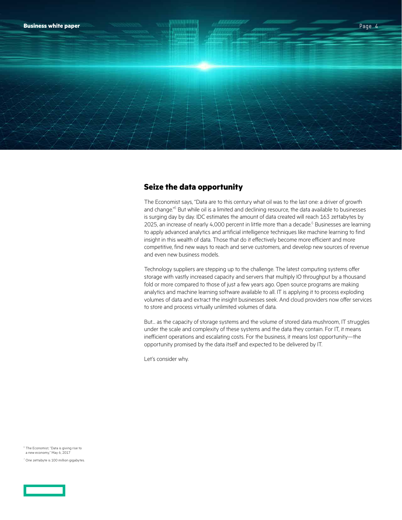

# **Seize the data opportunity**

The Economist says, "Data are to this century what oil was to the last one: a driver of growth and change." $^6$  But while oil is a limited and declining resource, the data available to businesses is surging day by day. IDC estimates the amount of data created will reach 163 zettabytes by 2025, an increase of nearly 4,000 percent in little more than a decade. $^6$  Businesses are learning to apply advanced analytics and artificial intelligence techniques like machine learning to find insight in this wealth of data. Those that do it effectively become more efficient and more competitive, find new ways to reach and serve customers, and develop new sources of revenue and even new business models.

Technology suppliers are stepping up to the challenge. The latest computing systems offer storage with vastly increased capacity and servers that multiply IO throughput by a thousand fold or more compared to those of just a few years ago. Open source programs are making analytics and machine learning software available to all. IT is applying it to process exploding volumes of data and extract the insight businesses seek. And cloud providers now offer services to store and process virtually unlimited volumes of data.

But… as the capacity of storage systems and the volume of stored data mushroom, IT struggles under the scale and complexity of these systems and the data they contain. For IT, it means inefficient operations and escalating costs. For the business, it means lost opportunity—the opportunity promised by the data itself and expected to be delivered by IT.

Let's consider why.

 $6$  The Economist, "Data is giving rise to a new economy," May 6, 2017

7 One zettabyte is 100 million gigabytes.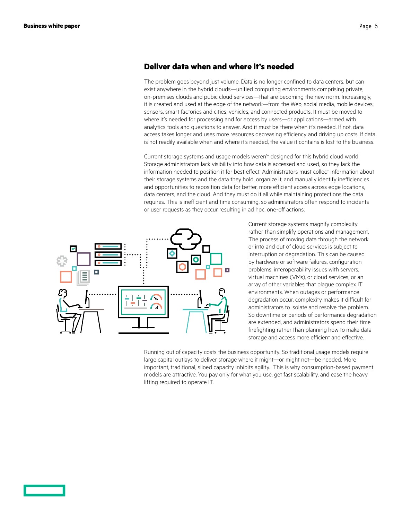# **Deliver data when and where it's needed**

The problem goes beyond just volume. Data is no longer confined to data centers, but can exist anywhere in the hybrid clouds—unified computing environments comprising private, on-premises clouds and pubic cloud services—that are becoming the new norm. Increasingly, it is created and used at the edge of the network—from the Web, social media, mobile devices, sensors, smart factories and cities, vehicles, and connected products. It must be moved to where it's needed for processing and for access by users—or applications—armed with analytics tools and questions to answer. And it must be there when it's needed. If not, data access takes longer and uses more resources decreasing efficiency and driving up costs. If data is not readily available when and where it's needed, the value it contains is lost to the business.

Current storage systems and usage models weren't designed for this hybrid cloud world. Storage administrators lack visibility into how data is accessed and used, so they lack the information needed to position it for best effect. Administrators must collect information about their storage systems and the data they hold, organize it, and manually identify inefficiencies and opportunities to reposition data for better, more efficient access across edge locations, data centers, and the cloud. And they must do it all while maintaining protections the data requires. This is inefficient and time consuming, so administrators often respond to incidents or user requests as they occur resulting in ad hoc, one-off actions.



Current storage systems magnify complexity rather than simplify operations and management. The process of moving data through the network or into and out of cloud services is subject to interruption or degradation. This can be caused by hardware or software failures, configuration problems, interoperability issues with servers, virtual machines (VMs), or cloud services, or an array of other variables that plague complex IT environments. When outages or performance degradation occur, complexity makes it difficult for administrators to isolate and resolve the problem. So downtime or periods of performance degradation are extended, and administrators spend their time firefighting rather than planning how to make data storage and access more efficient and effective.

Running out of capacity costs the business opportunity. So traditional usage models require large capital outlays to deliver storage where it might—or might not—be needed. More important, traditional, siloed capacity inhibits agility. This is why consumption-based payment models are attractive. You pay only for what you use, get fast scalability, and ease the heavy lifting required to operate IT.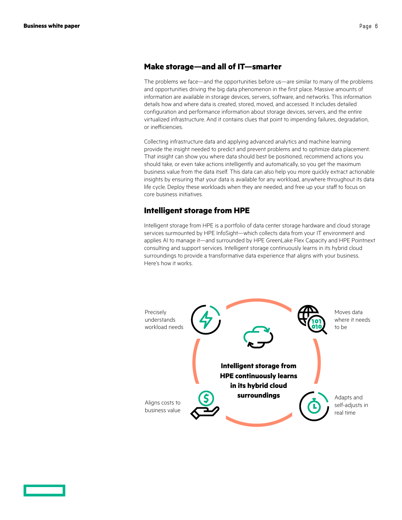## **Make storage—and all of IT—smarter**

The problems we face—and the opportunities before us—are similar to many of the problems and opportunities driving the big data phenomenon in the first place. Massive amounts of information are available in storage devices, servers, software, and networks. This information details how and where data is created, stored, moved, and accessed. It includes detailed configuration and performance information about storage devices, servers, and the entire virtualized infrastructure. And it contains clues that point to impending failures, degradation, or inefficiencies.

Collecting infrastructure data and applying advanced analytics and machine learning provide the insight needed to predict and prevent problems and to optimize data placement. That insight can show you where data should best be positioned, recommend actions you should take, or even take actions intelligently and automatically, so you get the maximum business value from the data itself. This data can also help you more quickly extract actionable insights by ensuring that your data is available for any workload, anywhere throughout its data life cycle. Deploy these workloads when they are needed, and free up your staff to focus on core business initiatives.

## **Intelligent storage from HPE**

Intelligent storage from HPE is a portfolio of data center storage hardware and cloud storage services surmounted by [HPE InfoSight—](https://www.hpe.com/us/en/storage/infosight.html)which collects data from your IT environment and applies AI to manage it—and surrounded by [HPE GreenLake Flex Capacity](https://www.hpe.com/us/en/services/it-consumption.html) and [HPE Pointnext](https://www.hpe.com/us/en/services.html) consulting and support services. Intelligent storage continuously learns in its [hybrid cloud](https://www.hpe.com/us/en/solutions/cloud.html) surroundings to provide a transformative data experience that aligns with your business. Here's how it works.

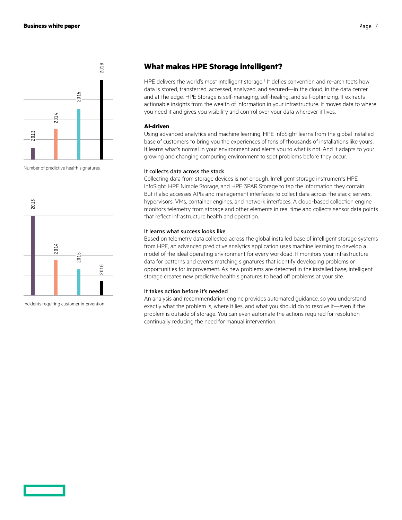

Number of predictive health signatures



Incidents requiring customer intervention

# **What makes HPE Storage intelligent?**

HPE delivers the world's most intelligent storage. $<sup>1</sup>$  It defies convention and re-architects how</sup> data is stored, transferred, accessed, analyzed, and secured—in the cloud, in the data center, and at the edge. HPE Storage is self-managing, self-healing, and self-optimizing. It extracts actionable insights from the wealth of information in your infrastructure. It moves data to where you need it and gives you visibility and control over your data wherever it lives.

#### **AI-driven**

Using advanced analytics and machine learning, HPE InfoSight learns from the global installed base of customers to bring you the experiences of tens of thousands of installations like yours. It learns what's normal in your environment and alerts you to what is not. And it adapts to your growing and changing computing environment to spot problems before they occur.

#### It collects data across the stack

Collecting data from storage devices is not enough. Intelligent storage instruments HPE InfoSight, HPE Nimble Storage, and HPE 3PAR Storage to tap the information they contain. But it also accesses APIs and management interfaces to collect data across the stack: servers, hypervisors, VMs, container engines, and network interfaces. A cloud-based collection engine monitors telemetry from storage and other elements in real time and collects sensor data points that reflect infrastructure health and operation.

#### It learns what success looks like

Based on telemetry data collected across the global installed base of intelligent storage systems from HPE, an advanced predictive analytics application uses machine learning to develop a model of the ideal operating environment for every workload. It monitors your infrastructure data for patterns and events matching signatures that identify developing problems or opportunities for improvement. As new problems are detected in the installed base, intelligent storage creates new predictive health signatures to head off problems at your site.

#### It takes action before it's needed

An analysis and recommendation engine provides automated guidance, so you understand exactly what the problem is, where it lies, and what you should do to resolve it—even if the problem is outside of storage. You can even automate the actions required for resolution continually reducing the need for manual intervention.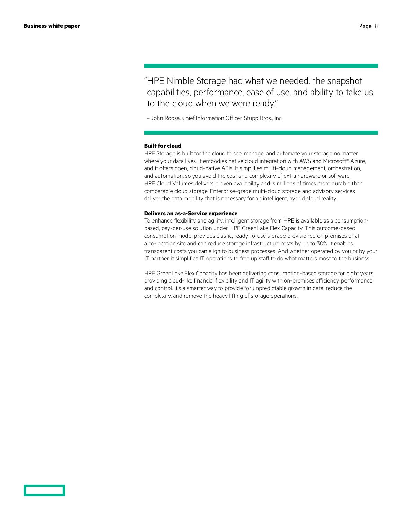"HPE Nimble Storage had what we needed: the snapshot capabilities, performance, ease of use, and ability to take us to the cloud when we were ready."

– John Roosa, Chief Information Officer, Stupp Bros., Inc.

#### **Built for cloud**

HPE Storage is built for the cloud to see, manage, and automate your storage no matter where your data lives. It embodies native cloud integration with AWS and Microsoft® Azure, and it offers open, cloud-native APIs. It simplifies multi-cloud management, orchestration, and automation, so you avoid the cost and complexity of extra hardware or software. HPE Cloud Volumes delivers proven availability and is millions of times more durable than comparable cloud storage. Enterprise-grade multi-cloud storage and advisory services deliver the data mobility that is necessary for an intelligent, hybrid cloud reality.

#### **Delivers an as-a-Service experience**

To enhance flexibility and agility, intelligent storage from HPE is available as a consumptionbased, pay-per-use solution under HPE GreenLake Flex Capacity. This outcome-based consumption model provides elastic, ready-to-use storage provisioned on premises or at a co-location site and can reduce storage infrastructure costs by up to 30%. It enables transparent costs you can align to business processes. And whether operated by you or by your IT partner, it simplifies IT operations to free up staff to do what matters most to the business.

HPE GreenLake Flex Capacity has been delivering consumption-based storage for eight years, providing cloud-like financial flexibility and IT agility with on-premises efficiency, performance, and control. It's a smarter way to provide for unpredictable growth in data, reduce the complexity, and remove the heavy lifting of storage operations.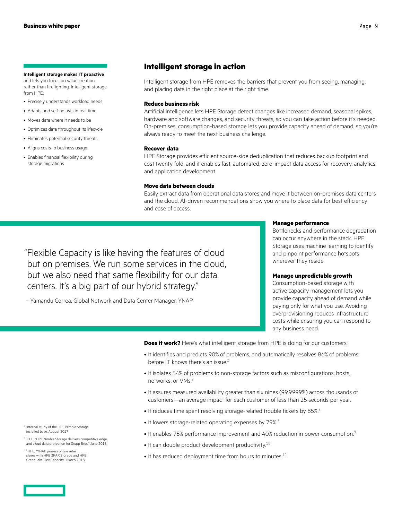#### **Intelligent storage makes IT proactive**

and lets you focus on value creation rather than firefighting. Intelligent storage from HPE:

- Precisely understands workload needs
- Adapts and self-adjusts in real time
- Moves data where it needs to be
- Optimizes data throughout its lifecycle
- Eliminates potential security threats
- Aligns costs to business usage
- Enables financial flexibility during storage migrations

# **Intelligent storage in action**

Intelligent storage from HPE removes the barriers that prevent you from seeing, managing, and placing data in the right place at the right time.

#### **Reduce business risk**

Artificial intelligence lets HPE Storage detect changes like increased demand, seasonal spikes, hardware and software changes, and security threats, so you can take action before it's needed. On-premises, consumption-based storage lets you provide capacity ahead of demand, so you're always ready to meet the next business challenge.

#### **Recover data**

HPE Storage provides efficient source-side deduplication that reduces backup footprint and cost twenty fold, and it enables fast, automated, zero-impact data access for recovery, analytics, and application development.

#### **Move data between clouds**

Easily extract data from operational data stores and move it between on-premises data centers and the cloud. AI-driven recommendations show you where to place data for best efficiency and ease of access.

"Flexible Capacity is like having the features of cloud but on premises. We run some services in the cloud, but we also need that same flexibility for our data centers. It's a big part of our hybrid strategy."

– Yamandu Correa, Global Network and Data Center Manager, YNAP

#### **Manage performance**

Bottlenecks and performance degradation can occur anywhere in the stack. HPE Storage uses machine learning to identify and pinpoint performance hotspots wherever they reside.

#### **Manage unpredictable growth**

Consumption-based storage with active capacity management lets you provide capacity ahead of demand while paying only for what you use. Avoiding overprovisioning reduces infrastructure costs while ensuring you can respond to any business need.

**Does it work?** Here's what intelligent storage from HPE is doing for our customers:

- It identifies and predicts 90% of problems, and automatically resolves 86% of problems before IT knows there's an issue.<sup>2</sup>
- It isolates 54% of problems to non-storage factors such as misconfigurations, hosts, networks, or VMs.<sup>8</sup>
- It assures measured availability greater than six nines (99.9999%) across thousands of customers—an average impact for each customer of less than 25 seconds per year.
- It reduces time spent resolving storage-related trouble tickets by 85%.<sup>8</sup>
- $\bullet$  It lowers storage-related operating expenses by 79%.<sup>3</sup>
- It enables 75% performance improvement and 40% reduction in power consumption.<sup>9</sup>
- It can double product development productivity.<sup>10</sup>
- $\bullet$  It has reduced deployment time from hours to minutes.<sup>10</sup>

8 Internal study of the HPE Nimble Storage installed base, August 2017

<sup>9</sup> HPE, "HPE Nimble Storage delivers competitive edge and cloud data protection for Stupp Bros," June 2018

 $^{10}$  HPE, "YNAP powers online retail stores with HPE 3PAR Storage and HPE GreenLake Flex Capacity," March 2018